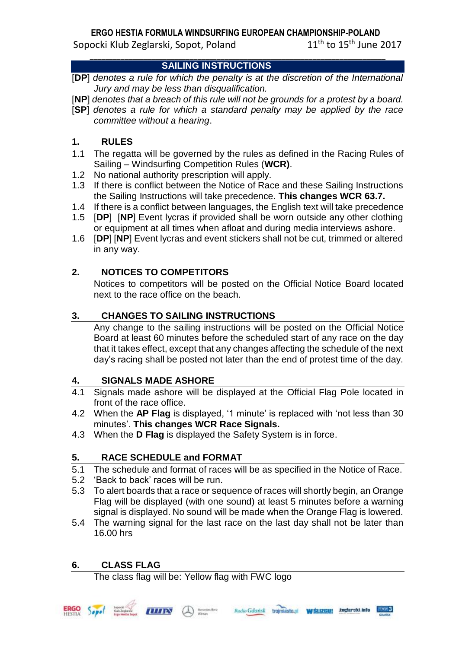# **ERGO HESTIA FORMULA WINDSURFING EUROPEAN CHAMPIONSHIP-POLAND**

\_\_\_\_\_\_\_\_\_\_\_\_\_\_\_\_\_\_\_\_\_\_\_\_\_\_\_\_\_\_\_\_\_\_\_\_\_\_\_\_\_\_\_\_\_\_\_\_\_\_\_\_\_\_\_\_\_\_\_\_\_\_\_\_\_\_\_\_\_\_\_\_\_\_\_\_\_

Sopocki Klub Zeglarski, Sopot, Poland

 $11<sup>th</sup>$  to  $15<sup>th</sup>$  June 2017

# **SAILING INSTRUCTIONS**

- [**DP**] *denotes a rule for which the penalty is at the discretion of the International Jury and may be less than disqualification.*
- [**NP**] *denotes that a breach of this rule will not be grounds for a protest by a board.*
- [**SP**] *denotes a rule for which a standard penalty may be applied by the race committee without a hearing*.

# **1. RULES**

- 1.1 The regatta will be governed by the rules as defined in the Racing Rules of Sailing – Windsurfing Competition Rules (**WCR)**.
- 1.2 No national authority prescription will apply.
- 1.3 If there is conflict between the Notice of Race and these Sailing Instructions the Sailing Instructions will take precedence. **This changes WCR 63.7.**
- 1.4 If there is a conflict between languages, the English text will take precedence
- 1.5 [**DP**] [**NP**] Event lycras if provided shall be worn outside any other clothing or equipment at all times when afloat and during media interviews ashore.
- 1.6 [**DP**] [**NP**] Event lycras and event stickers shall not be cut, trimmed or altered in any way.

# **2. NOTICES TO COMPETITORS**

Notices to competitors will be posted on the Official Notice Board located next to the race office on the beach.

# **3. CHANGES TO SAILING INSTRUCTIONS**

Any change to the sailing instructions will be posted on the Official Notice Board at least 60 minutes before the scheduled start of any race on the day that it takes effect, except that any changes affecting the schedule of the next day's racing shall be posted not later than the end of protest time of the day.

# **4. SIGNALS MADE ASHORE**

- 4.1 Signals made ashore will be displayed at the Official Flag Pole located in front of the race office.
- 4.2 When the **AP Flag** is displayed, '1 minute' is replaced with 'not less than 30 minutes'. **This changes WCR Race Signals.**
- 4.3 When the **D Flag** is displayed the Safety System is in force.

# **5. RACE SCHEDULE and FORMAT**

- 5.1 The schedule and format of races will be as specified in the Notice of Race.
- 5.2 'Back to back' races will be run.
- 5.3 To alert boards that a race or sequence of races will shortly begin, an Orange Flag will be displayed (with one sound) at least 5 minutes before a warning signal is displayed. No sound will be made when the Orange Flag is lowered.
- 5.4 The warning signal for the last race on the last day shall not be later than 16.00 hrs

# **6. CLASS FLAG**

The class flag will be: Yellow flag with FWC logo







żeglaroki.info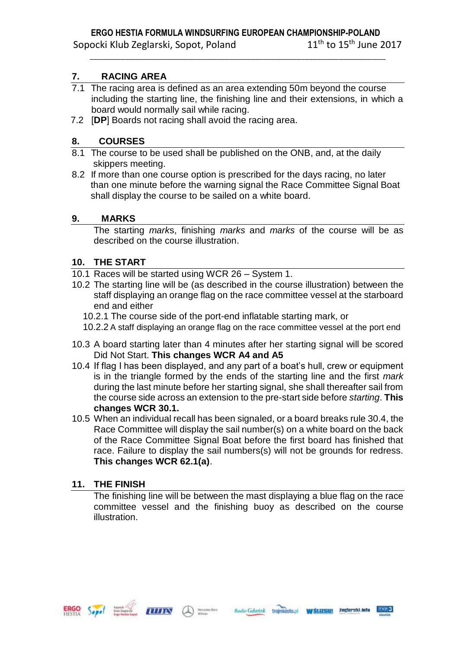\_\_\_\_\_\_\_\_\_\_\_\_\_\_\_\_\_\_\_\_\_\_\_\_\_\_\_\_\_\_\_\_\_\_\_\_\_\_\_\_\_\_\_\_\_\_\_\_\_\_\_\_\_\_\_\_\_\_\_\_\_\_\_\_\_\_\_\_\_\_\_\_\_\_\_\_\_

## **7. RACING AREA**

- 7.1 The racing area is defined as an area extending 50m beyond the course including the starting line, the finishing line and their extensions, in which a board would normally sail while racing.
- 7.2 [**DP**] Boards not racing shall avoid the racing area.

## **8. COURSES**

- 8.1 The course to be used shall be published on the ONB, and, at the daily skippers meeting.
- 8.2 If more than one course option is prescribed for the days racing, no later than one minute before the warning signal the Race Committee Signal Boat shall display the course to be sailed on a white board.

### **9. MARKS**

The starting *mark*s, finishing *marks* and *marks* of the course will be as described on the course illustration.

### **10. THE START**

- 10.1 Races will be started using WCR 26 System 1.
- 10.2 The starting line will be (as described in the course illustration) between the staff displaying an orange flag on the race committee vessel at the starboard end and either
	- 10.2.1 The course side of the port-end inflatable starting mark, or
	- 10.2.2 A staff displaying an orange flag on the race committee vessel at the port end
- 10.3 A board starting later than 4 minutes after her starting signal will be scored Did Not Start. **This changes WCR A4 and A5**
- 10.4 If flag I has been displayed, and any part of a boat's hull, crew or equipment is in the triangle formed by the ends of the starting line and the first *mark* during the last minute before her starting signal, she shall thereafter sail from the course side across an extension to the pre-start side before *starting*. **This changes WCR 30.1.**
- 10.5 When an individual recall has been signaled, or a board breaks rule 30.4, the Race Committee will display the sail number(s) on a white board on the back of the Race Committee Signal Boat before the first board has finished that race. Failure to display the sail numbers(s) will not be grounds for redress. **This changes WCR 62.1(a)**.

### **11. THE FINISH**

The finishing line will be between the mast displaying a blue flag on the race committee vessel and the finishing buoy as described on the course illustration.





W SLIZGUI Zeglaroki.info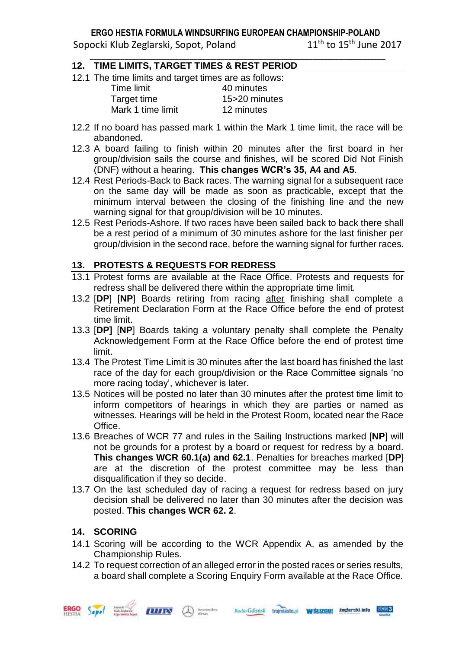#### **ERGO HESTIA FORMULA WINDSURFING EUROPEAN CHAMPIONSHIP-POLAND** Sopocki Klub Zeglarski, Sopot, Poland  $11<sup>th</sup>$  to  $15<sup>th</sup>$  June 2017

\_\_\_\_\_\_\_\_\_\_\_\_\_\_\_\_\_\_\_\_\_\_\_\_\_\_\_\_\_\_\_\_\_\_\_\_\_\_\_\_\_\_\_\_\_\_\_\_\_\_\_\_\_\_\_\_\_\_\_\_\_\_\_\_\_\_\_\_\_\_\_\_\_\_\_\_\_

## **12. TIME LIMITS, TARGET TIMES & REST PERIOD**

12.1 The time limits and target times are as follows:

| Time limit        | 40 minutes    |
|-------------------|---------------|
| Target time       | 15>20 minutes |
| Mark 1 time limit | 12 minutes    |

- 12.2 If no board has passed mark 1 within the Mark 1 time limit, the race will be abandoned.
- 12.3 A board failing to finish within 20 minutes after the first board in her group/division sails the course and finishes, will be scored Did Not Finish (DNF) without a hearing. **This changes WCR's 35, A4 and A5**.
- 12.4 Rest Periods-Back to Back races. The warning signal for a subsequent race on the same day will be made as soon as practicable, except that the minimum interval between the closing of the finishing line and the new warning signal for that group/division will be 10 minutes.
- 12.5 Rest Periods-Ashore. If two races have been sailed back to back there shall be a rest period of a minimum of 30 minutes ashore for the last finisher per group/division in the second race, before the warning signal for further races**.**

### **13. PROTESTS & REQUESTS FOR REDRESS**

- 13.1 Protest forms are available at the Race Office. Protests and requests for redress shall be delivered there within the appropriate time limit.
- 13.2 [**DP**] [**NP**] Boards retiring from racing after finishing shall complete a Retirement Declaration Form at the Race Office before the end of protest time limit.
- 13.3 [**DP]** [**NP**] Boards taking a voluntary penalty shall complete the Penalty Acknowledgement Form at the Race Office before the end of protest time limit.
- 13.4 The Protest Time Limit is 30 minutes after the last board has finished the last race of the day for each group/division or the Race Committee signals 'no more racing today', whichever is later.
- 13.5 Notices will be posted no later than 30 minutes after the protest time limit to inform competitors of hearings in which they are parties or named as witnesses. Hearings will be held in the Protest Room, located near the Race Office.
- 13.6 Breaches of WCR 77 and rules in the Sailing Instructions marked [**NP**] will not be grounds for a protest by a board or request for redress by a board. **This changes WCR 60.1(a) and 62.1**. Penalties for breaches marked [**DP**] are at the discretion of the protest committee may be less than disqualification if they so decide.
- 13.7 On the last scheduled day of racing a request for redress based on jury decision shall be delivered no later than 30 minutes after the decision was posted. **This changes WCR 62. 2**.

### **14. SCORING**

- 14.1 Scoring will be according to the WCR Appendix A, as amended by the Championship Rules.
- 14.2 To request correction of an alleged error in the posted races or series results, a board shall complete a Scoring Enquiry Form available at the Race Office.

Radio Gdarisk trojmiasto.pl WSLIZGUI Zeglarski.info 17083

**ILIIIN A** Mondon